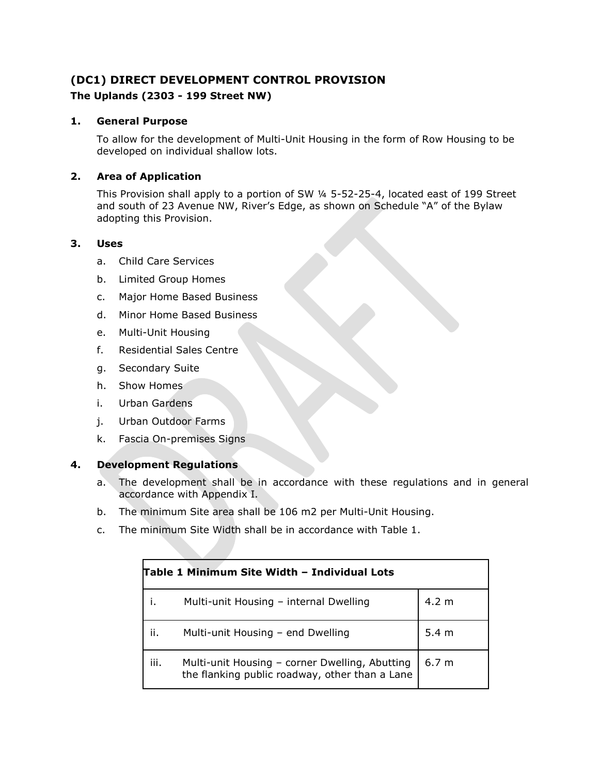# **(DC1) DIRECT DEVELOPMENT CONTROL PROVISION The Uplands (2303 - 199 Street NW)**

## **1. General Purpose**

To allow for the development of Multi-Unit Housing in the form of Row Housing to be developed on individual shallow lots.

## **2. Area of Application**

This Provision shall apply to a portion of SW ¼ 5-52-25-4, located east of 199 Street and south of 23 Avenue NW, River's Edge, as shown on Schedule "A" of the Bylaw adopting this Provision.

### **3. Uses**

- a. Child Care Services
- b. Limited Group Homes
- c. Major Home Based Business
- d. Minor Home Based Business
- e. Multi-Unit Housing
- f. Residential Sales Centre
- g. Secondary Suite
- h. Show Homes
- i. Urban Gardens
- j. Urban Outdoor Farms
- k. Fascia On-premises Signs

### **4. Development Regulations**

- a. The development shall be in accordance with these regulations and in general accordance with Appendix I.
- b. The minimum Site area shall be 106 m2 per Multi-Unit Housing.
- c. The minimum Site Width shall be in accordance with Table 1.

| Table 1 Minimum Site Width – Individual Lots |                                                                                                  |                  |  |
|----------------------------------------------|--------------------------------------------------------------------------------------------------|------------------|--|
|                                              | Multi-unit Housing - internal Dwelling                                                           | $4.2 \text{ m}$  |  |
| ii.                                          | Multi-unit Housing - end Dwelling                                                                | $5.4 \text{ m}$  |  |
| iii.                                         | Multi-unit Housing - corner Dwelling, Abutting<br>the flanking public roadway, other than a Lane | 6.7 <sub>m</sub> |  |